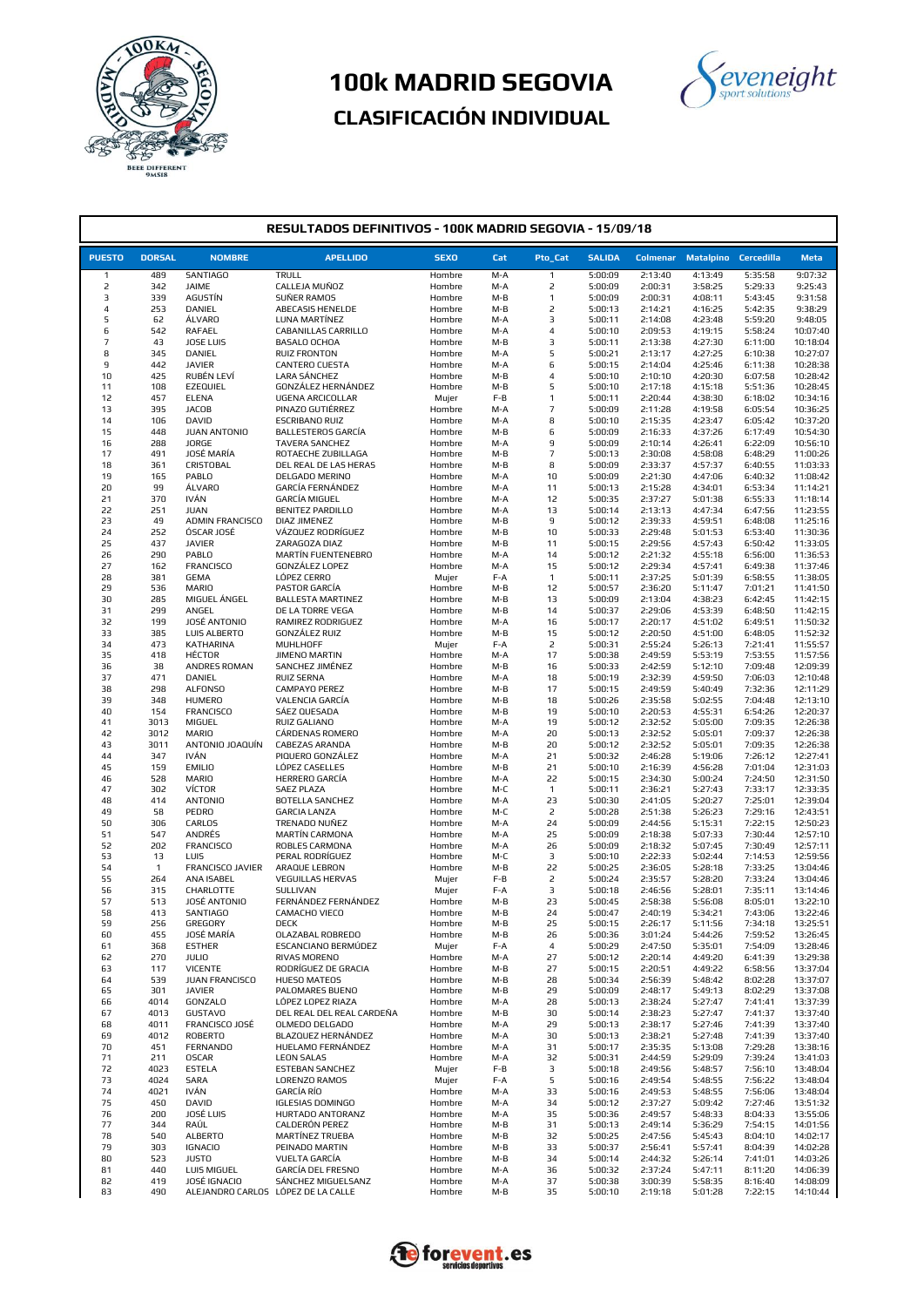



| RESULTADOS DEFINITIVOS - 100K MADRID SEGOVIA - 15/09/18 |                     |                                    |                                                |                  |            |                     |                    |                    |                    |                      |                      |
|---------------------------------------------------------|---------------------|------------------------------------|------------------------------------------------|------------------|------------|---------------------|--------------------|--------------------|--------------------|----------------------|----------------------|
| <b>PUESTO</b>                                           | <b>DORSAL</b>       | <b>NOMBRE</b>                      | <b>APELLIDO</b>                                | <b>SEXO</b>      | Cat        | Pto_Cat             | <b>SALIDA</b>      | <b>Colmenar</b>    |                    | Matalpino Cercedilla | <b>Meta</b>          |
| 1                                                       | 489                 | <b>SANTIAGO</b>                    | TRULL                                          | Hombre           | M-A        | 1                   | 5:00:09            | 2:13:40            | 4:13:49            | 5:35:58              | 9:07:32              |
| 2                                                       | 342                 | JAIME                              | CALLEJA MUÑOZ                                  | Hombre           | M-A        | 2                   | 5:00:09            | 2:00:31            | 3:58:25            | 5:29:33              | 9:25:43              |
| 3                                                       | 339                 | AGUSTÍN                            | SUÑER RAMOS                                    | Hombre           | $M-B$      | $\mathbf{1}$        | 5:00:09            | 2:00:31            | 4:08:11            | 5:43:45              | 9:31:58              |
| 4                                                       | 253                 | DANIEL                             | ABECASIS HENELDE                               | Hombre           | M-B        | 2                   | 5:00:13            | 2:14:21            | 4:16:25            | 5:42:35              | 9:38:29              |
| 5<br>6                                                  | 62<br>542           | <b>ÁLVARO</b><br>RAFAEL            | LUNA MARTÍNEZ<br>CABANILLAS CARRILLO           | Hombre<br>Hombre | M-A<br>M-A | 3<br>4              | 5:00:11<br>5:00:10 | 2:14:08<br>2:09:53 | 4:23:48<br>4:19:15 | 5:59:20<br>5:58:24   | 9:48:05<br>10:07:40  |
| 7                                                       | 43                  | JOSE LUIS                          | BASALO OCHOA                                   | Hombre           | M-B        | 3                   | 5:00:11            | 2:13:38            | 4:27:30            | 6:11:00              | 10:18:04             |
| 8                                                       | 345                 | DANIEL                             | <b>RUIZ FRONTON</b>                            | Hombre           | M-A        | 5                   | 5:00:21            | 2:13:17            | 4:27:25            | 6:10:38              | 10:27:07             |
| 9                                                       | 442                 | <b>JAVIER</b>                      | <b>CANTERO CUESTA</b>                          | Hombre           | M-A        | 6                   | 5:00:15            | 2:14:04            | 4:25:46            | 6:11:38              | 10:28:38             |
| 10                                                      | 425                 | RUBÉN LEVÍ                         | LARA SÁNCHEZ                                   | Hombre           | M-B        | 4                   | 5:00:10            | 2:10:10            | 4:20:30            | 6:07:58              | 10:28:42             |
| 11<br>12                                                | 108<br>457          | EZEQUIEL<br><b>ELENA</b>           | GONZÁLEZ HERNÁNDEZ<br><b>UGENA ARCICOLLAR</b>  | Hombre<br>Mujer  | M-B<br>F-B | 5<br>$\mathbf{1}$   | 5:00:10<br>5:00:11 | 2:17:18<br>2:20:44 | 4:15:18<br>4:38:30 | 5:51:36<br>6:18:02   | 10:28:45<br>10:34:16 |
| 13                                                      | 395                 | <b>JACOB</b>                       | PINAZO GUTIÉRREZ                               | Hombre           | M-A        | $\overline{7}$      | 5:00:09            | 2:11:28            | 4:19:58            | 6:05:54              | 10:36:25             |
| 14                                                      | 106                 | DAVID                              | <b>ESCRIBANO RUIZ</b>                          | Hombre           | M-A        | 8                   | 5:00:10            | 2:15:35            | 4:23:47            | 6:05:42              | 10:37:20             |
| 15                                                      | 448                 | JUAN ANTONIO                       | <b>BALLESTEROS GARCÍA</b>                      | Hombre           | M-B        | 6                   | 5:00:09            | 2:16:33            | 4:37:26            | 6:17:49              | 10:54:30             |
| 16                                                      | 288                 | JORGE                              | <b>TAVERA SANCHEZ</b>                          | Hombre           | M-A        | 9                   | 5:00:09            | 2:10:14            | 4:26:41            | 6:22:09              | 10:56:10             |
| 17<br>18                                                | 491<br>361          | JOSÉ MARÍA<br>CRISTOBAL            | ROTAECHE ZUBILLAGA<br>DEL REAL DE LAS HERAS    | Hombre<br>Hombre | M-B<br>M-B | $\overline{7}$<br>8 | 5:00:13<br>5:00:09 | 2:30:08<br>2:33:37 | 4:58:08<br>4:57:37 | 6:48:29<br>6:40:55   | 11:00:26<br>11:03:33 |
| 19                                                      | 165                 | PABLO                              | DELGADO MERINO                                 | Hombre           | M-A        | 10                  | 5:00:09            | 2:21:30            | 4:47:06            | 6:40:32              | 11:08:42             |
| 20                                                      | 99                  | <b>ÁLVARO</b>                      | GARCÍA FERNÁNDEZ                               | Hombre           | M-A        | 11                  | 5:00:13            | 2:15:28            | 4:34:01            | 6:53:34              | 11:14:21             |
| 21                                                      | 370                 | <b>IVÁN</b>                        | GARCÍA MIGUEL                                  | Hombre           | M-A        | 12                  | 5:00:35            | 2:37:27            | 5:01:38            | 6:55:33              | 11:18:14             |
| 22                                                      | 251                 | <b>JUAN</b>                        | <b>BENITEZ PARDILLO</b>                        | Hombre           | M-A        | 13                  | 5:00:14            | 2:13:13            | 4:47:34            | 6:47:56              | 11:23:55             |
| 23<br>24                                                | 49<br>252           | ADMIN FRANCISCO<br>ÓSCAR JOSÉ      | <b>DIAZ JIMENEZ</b><br>VÁZQUEZ RODRÍGUEZ       | Hombre<br>Hombre | M-B<br>M-B | 9<br>10             | 5:00:12<br>5:00:33 | 2:39:33<br>2:29:48 | 4:59:51<br>5:01:53 | 6:48:08<br>6:53:40   | 11:25:16<br>11:30:36 |
| 25                                                      | 437                 | <b>JAVIER</b>                      | ZARAGOZA DIAZ                                  | Hombre           | M-B        | 11                  | 5:00:15            | 2:29:56            | 4:57:43            | 6:50:42              | 11:33:05             |
| 26                                                      | 290                 | PABLO                              | MARTÍN FUENTENEBRO                             | Hombre           | M-A        | 14                  | 5:00:12            | 2:21:32            | 4:55:18            | 6:56:00              | 11:36:53             |
| 27                                                      | 162                 | <b>FRANCISCO</b>                   | GONZÁLEZ LOPEZ                                 | Hombre           | M-A        | 15                  | 5:00:12            | 2:29:34            | 4:57:41            | 6:49:38              | 11:37:46             |
| 28                                                      | 381                 | <b>GEMA</b>                        | LÓPEZ CERRO                                    | Mujer            | F-A        | $\mathbf{1}$        | 5:00:11            | 2:37:25            | 5:01:39            | 6:58:55              | 11:38:05             |
| 29<br>30                                                | 536<br>285          | MARIO<br>MIGUEL ÁNGEL              | PASTOR GARCÍA<br><b>BALLESTA MARTINEZ</b>      | Hombre<br>Hombre | M-B<br>M-B | 12<br>13            | 5:00:57<br>5:00:09 | 2:36:20<br>2:13:04 | 5:11:47<br>4:38:23 | 7:01:21<br>6:42:45   | 11:41:50<br>11:42:15 |
| 31                                                      | 299                 | ANGEL                              | DE LA TORRE VEGA                               | Hombre           | M-B        | 14                  | 5:00:37            | 2:29:06            | 4:53:39            | 6:48:50              | 11:42:15             |
| 32                                                      | 199                 | JOSÉ ANTONIO                       | RAMIREZ RODRIGUEZ                              | Hombre           | M-A        | 16                  | 5:00:17            | 2:20:17            | 4:51:02            | 6:49:51              | 11:50:32             |
| 33                                                      | 385                 | LUIS ALBERTO                       | GONZÁLEZ RUIZ                                  | Hombre           | M-B        | 15                  | 5:00:12            | 2:20:50            | 4:51:00            | 6:48:05              | 11:52:32             |
| 34                                                      | 473                 | <b>KATHARINA</b>                   | MUHLHOFF                                       | Mujer            | F-A        | 2                   | 5:00:31            | 2:55:24            | 5:26:13            | 7:21:41              | 11:55:57             |
| 35<br>36                                                | 418<br>38           | HÉCTOR<br>ANDRES ROMAN             | <b>JIMENO MARTIN</b><br>SANCHEZ JIMÉNEZ        | Hombre<br>Hombre | M-A<br>M-B | 17<br>16            | 5:00:38<br>5:00:33 | 2:49:59<br>2:42:59 | 5:53:19<br>5:12:10 | 7:53:55<br>7:09:48   | 11:57:56<br>12:09:39 |
| 37                                                      | 471                 | DANIEL                             | RUIZ SERNA                                     | Hombre           | M-A        | 18                  | 5:00:19            | 2:32:39            | 4:59:50            | 7:06:03              | 12:10:48             |
| 38                                                      | 298                 | ALFONSO                            | CAMPAYO PEREZ                                  | Hombre           | M-B        | 17                  | 5:00:15            | 2:49:59            | 5:40:49            | 7:32:36              | 12:11:29             |
| 39                                                      | 348                 | <b>HUMERO</b>                      | VALENCIA GARCÍA                                | Hombre           | M-B        | 18                  | 5:00:26            | 2:35:58            | 5:02:55            | 7:04:48              | 12:13:10             |
| 40                                                      | 154                 | <b>FRANCISCO</b>                   | SÁEZ QUESADA                                   | Hombre           | M-B        | 19                  | 5:00:10            | 2:20:53            | 4:55:31            | 6:54:26              | 12:20:37             |
| 41                                                      | 3013<br>3012        | MIGUEL<br><b>MARIO</b>             | RUIZ GALIANO<br>CÁRDENAS ROMERO                | Hombre           | M-A        | 19<br>20            | 5:00:12<br>5:00:13 | 2:32:52<br>2:32:52 | 5:05:00<br>5:05:01 | 7:09:35<br>7:09:37   | 12:26:38<br>12:26:38 |
| 42<br>43                                                | 3011                | ANTONIO JOAQUÍN                    | <b>CABEZAS ARANDA</b>                          | Hombre<br>Hombre | M-A<br>M-B | 20                  | 5:00:12            | 2:32:52            | 5:05:01            | 7:09:35              | 12:26:38             |
| 44                                                      | 347                 | <b>IVÁN</b>                        | PIQUERO GONZÁLEZ                               | Hombre           | M-A        | 21                  | 5:00:32            | 2:46:28            | 5:19:06            | 7:26:12              | 12:27:41             |
| 45                                                      | 159                 | <b>EMILIO</b>                      | LÓPEZ CASELLES                                 | Hombre           | M-B        | 21                  | 5:00:10            | 2:16:39            | 4:56:28            | 7:01:04              | 12:31:03             |
| 46                                                      | 528                 | MARIO                              | HERRERO GARCÍA                                 | Hombre           | M-A        | 22                  | 5:00:15            | 2:34:30            | 5:00:24            | 7:24:50              | 12:31:50             |
| 47                                                      | 302<br>414          | VÍCTOR<br><b>ANTONIO</b>           | <b>SAEZ PLAZA</b><br><b>BOTELLA SANCHEZ</b>    | Hombre           | M-C        | $\mathbf{1}$<br>23  | 5:00:11<br>5:00:30 | 2:36:21<br>2:41:05 | 5:27:43<br>5:20:27 | 7:33:17<br>7:25:01   | 12:33:35<br>12:39:04 |
| 48<br>49                                                | 58                  | PEDRO                              | <b>GARCIA LANZA</b>                            | Hombre<br>Hombre | M-A<br>M-C | 2                   | 5:00:28            | 2:51:38            | 5:26:23            | 7:29:16              | 12:43:51             |
| 50                                                      | 306                 | CARLOS                             | TRENADO NUÑEZ                                  | Hombre           | M-A        | 24                  | 5:00:09            | 2:44:56            | 5:15:31            | 7:22:15              | 12:50:23             |
| 51                                                      | 547                 | <b>ANDRÉS</b>                      | MARTÍN CARMONA                                 | Hombre           | M-A        | 25                  | 5:00:09            | 2:18:38            | 5:07:33            | 7:30:44              | 12:57:10             |
| 52                                                      | 202                 | <b>FRANCISCO</b>                   | ROBLES CARMONA                                 | Hombre           | M-A        | 26                  | 5:00:09            | 2:18:32            | 5:07:45            | 7:30:49              | 12:57:11             |
| 53                                                      | 13                  | LUIS                               | PERAL RODRÍGUEZ                                | Hombre<br>Hombre | M-C        | з                   | 5:00:10            | 2:22:33            | 5:02:44            | 7:14:53              | 12:59:56             |
| 54<br>55                                                | $\mathbf{1}$<br>264 | FRANCISCO JAVIER<br>ANA ISABEL     | ARAQUE LEBRON<br><b>VEGUILLAS HERVAS</b>       | Mujer            | M-B<br>F-B | 22<br>2             | 5:00:25<br>5:00:24 | 2:36:05<br>2:35:57 | 5:28:18<br>5:28:20 | 7:33:25<br>7:33:24   | 13:04:46<br>13:04:46 |
| 56                                                      | 315                 | CHARLOTTE                          | SULLIVAN                                       | Mujer            | F-A        | 3                   | 5:00:18            | 2:46:56            | 5:28:01            | 7:35:11              | 13:14:46             |
| 57                                                      | 513                 | JOSÉ ANTONIO                       | FERNÁNDEZ FERNÁNDEZ                            | Hombre           | M-B        | 23                  | 5:00:45            | 2:58:38            | 5:56:08            | 8:05:01              | 13:22:10             |
| 58                                                      | 413                 | <b>SANTIAGO</b>                    | CAMACHO VIECO                                  | Hombre           | M-B        | 24                  | 5:00:47            | 2:40:19            | 5:34:21            | 7:43:06              | 13:22:46             |
| 59                                                      | 256                 | GREGORY                            | DECK                                           | Hombre           | M-B        | 25                  | 5:00:15            | 2:26:17            | 5:11:56            | 7:34:18              | 13:25:51             |
| 60<br>61                                                | 455<br>368          | JOSÉ MARÍA<br><b>ESTHER</b>        | OLAZABAL ROBREDO<br>ESCANCIANO BERMÚDEZ        | Hombre<br>Mujer  | M-B<br>F-A | 26<br>4             | 5:00:36<br>5:00:29 | 3:01:24<br>2:47:50 | 5:44:26<br>5:35:01 | 7:59:52<br>7:54:09   | 13:26:45<br>13:28:46 |
| 62                                                      | 270                 | <b>JULIO</b>                       | RIVAS MORENO                                   | Hombre           | M-A        | 27                  | 5:00:12            | 2:20:14            | 4:49:20            | 6:41:39              | 13:29:38             |
| 63                                                      | 117                 | <b>VICENTE</b>                     | RODRÍGUEZ DE GRACIA                            | Hombre           | M-B        | 27                  | 5:00:15            | 2:20:51            | 4:49:22            | 6:58:56              | 13:37:04             |
| 64                                                      | 539                 | JUAN FRANCISCO                     | HUESO MATEOS                                   | Hombre           | M-B        | 28                  | 5:00:34            | 2:56:39            | 5:48:42            | 8:02:28              | 13:37:07             |
| 65                                                      | 301                 | <b>JAVIER</b>                      | PALOMARES BUENO                                | Hombre           | M-B        | 29                  | 5:00:09            | 2:48:17            | 5:49:13            | 8:02:29              | 13:37:08             |
| 66                                                      | 4014<br>4013        | <b>GONZALO</b><br><b>GUSTAVO</b>   | LÓPEZ LOPEZ RIAZA<br>DEL REAL DEL REAL CARDEÑA | Hombre           | M-A        | 28<br>30            | 5:00:13<br>5:00:14 | 2:38:24<br>2:38:23 | 5:27:47<br>5:27:47 | 7:41:41              | 13:37:39<br>13:37:40 |
| 67<br>68                                                | 4011                | FRANCISCO JOSÉ                     | OLMEDO DELGADO                                 | Hombre<br>Hombre | M-B<br>M-A | 29                  | 5:00:13            | 2:38:17            | 5:27:46            | 7:41:37<br>7:41:39   | 13:37:40             |
| 69                                                      | 4012                | ROBERTO                            | BLAZQUEZ HERNÁNDEZ                             | Hombre           | M-A        | 30                  | 5:00:13            | 2:38:21            | 5:27:48            | 7:41:39              | 13:37:40             |
| 70                                                      | 451                 | <b>FERNANDO</b>                    | HUELAMO FERNÁNDEZ                              | Hombre           | M-A        | 31                  | 5:00:17            | 2:35:35            | 5:13:08            | 7:29:28              | 13:38:16             |
| 71                                                      | 211                 | <b>OSCAR</b>                       | <b>LEON SALAS</b>                              | Hombre           | M-A        | 32                  | 5:00:31            | 2:44:59            | 5:29:09            | 7:39:24              | 13:41:03             |
| 72<br>73                                                | 4023<br>4024        | <b>ESTELA</b><br><b>SARA</b>       | ESTEBAN SANCHEZ<br>LORENZO RAMOS               | Mujer            | F-B<br>F-A | з<br>5              | 5:00:18<br>5:00:16 | 2:49:56            | 5:48:57<br>5:48:55 | 7:56:10              | 13:48:04<br>13:48:04 |
| 74                                                      | 4021                | <b>IVÁN</b>                        | GARCÍA RÍO                                     | Mujer<br>Hombre  | M-A        | 33                  | 5:00:16            | 2:49:54<br>2:49:53 | 5:48:55            | 7:56:22<br>7:56:06   | 13:48:04             |
| 75                                                      | 450                 | DAVID                              | <b>IGLESIAS DOMINGO</b>                        | Hombre           | M-A        | 34                  | 5:00:12            | 2:37:27            | 5:09:42            | 7:27:46              | 13:51:32             |
| 76                                                      | 200                 | JOSÉ LUIS                          | HURTADO ANTORANZ                               | Hombre           | M-A        | 35                  | 5:00:36            | 2:49:57            | 5:48:33            | 8:04:33              | 13:55:06             |
| 77                                                      | 344                 | RAÚL                               | CALDERÓN PEREZ                                 | Hombre           | M-B        | 31                  | 5:00:13            | 2:49:14            | 5:36:29            | 7:54:15              | 14:01:56             |
| 78<br>79                                                | 540                 | <b>ALBERTO</b>                     | MARTÍNEZ TRUEBA                                | Hombre           | M-B        | 32                  | 5:00:25            | 2:47:56            | 5:45:43            | 8:04:10              | 14:02:17             |
| 80                                                      | 303<br>523          | <b>IGNACIO</b><br><b>JUSTO</b>     | PEINADO MARTIN<br>VUELTA GARCÍA                | Hombre<br>Hombre | M-B<br>M-B | 33<br>34            | 5:00:37<br>5:00:14 | 2:56:41<br>2:44:32 | 5:57:41<br>5:26:14 | 8:04:39<br>7:41:01   | 14:02:28<br>14:03:26 |
| 81                                                      | 440                 | LUIS MIGUEL                        | GARCÍA DEL FRESNO                              | Hombre           | M-A        | 36                  | 5:00:32            | 2:37:24            | 5:47:11            | 8:11:20              | 14:06:39             |
| 82                                                      | 419                 | JOSÉ IGNACIO                       | SÁNCHEZ MIGUELSANZ                             | Hombre           | M-A        | 37                  | 5:00:38            | 3:00:39            | 5:58:35            | 8:16:40              | 14:08:09             |
| 83                                                      | 490                 | ALEJANDRO CARLOS LÓPEZ DE LA CALLE |                                                | Hombre           | M-B        | 35                  | 5:00:10            | 2:19:18            | 5:01:28            | 7:22:15              | 14:10:44             |

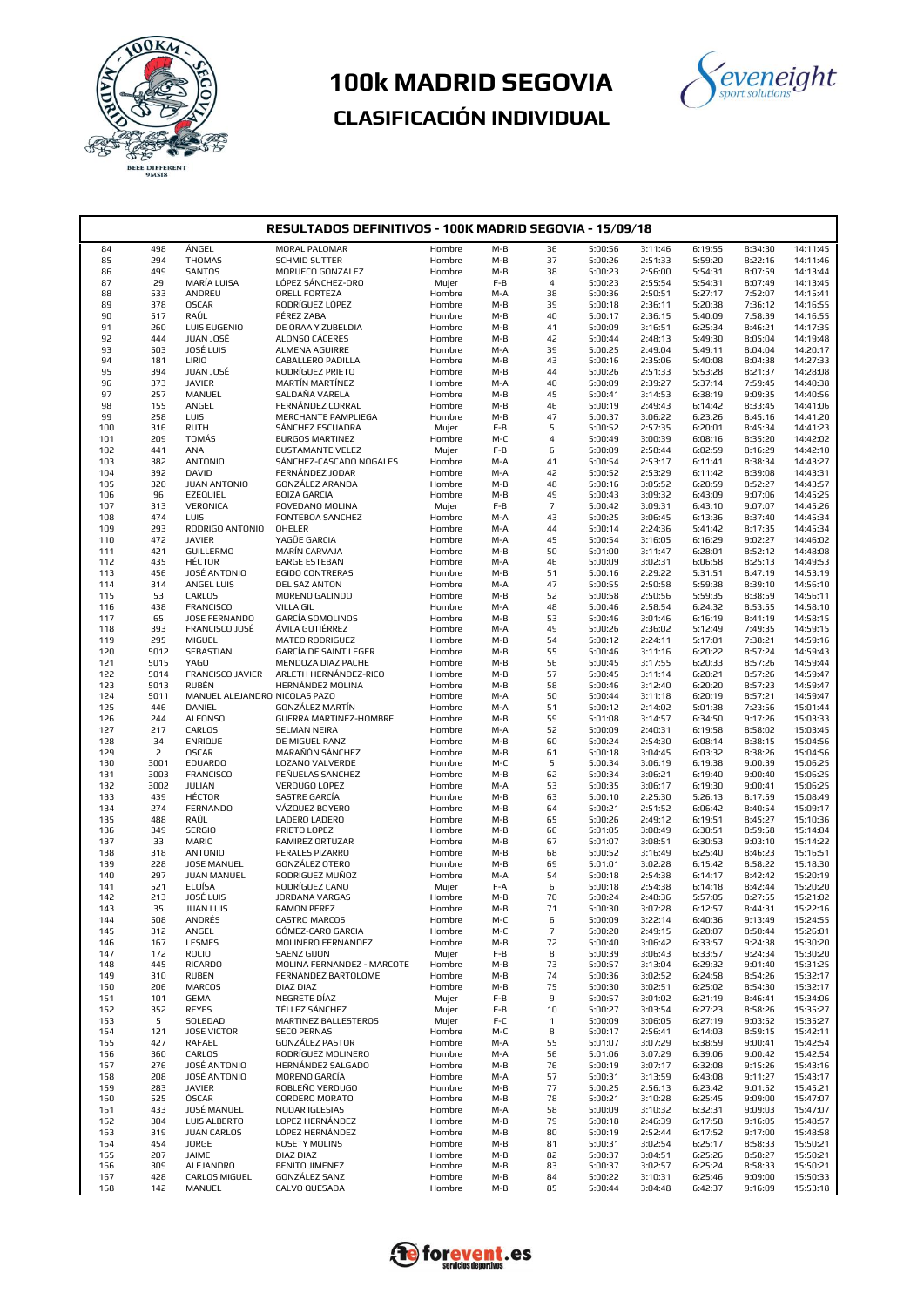



| RESULTADOS DEFINITIVOS - 100K MADRID SEGOVIA - 15/09/18 |                |                               |                                                    |                  |              |                   |                    |                    |                    |                    |                      |  |
|---------------------------------------------------------|----------------|-------------------------------|----------------------------------------------------|------------------|--------------|-------------------|--------------------|--------------------|--------------------|--------------------|----------------------|--|
| 84                                                      | 498            | ÁNGEL                         | MORAL PALOMAR                                      | Hombre           | $M-B$        | 36                | 5:00:56            | 3:11:46            | 6:19:55            | 8:34:30            | 14:11:45             |  |
| 85                                                      | 294            | <b>THOMAS</b>                 | <b>SCHMID SUTTER</b>                               | Hombre           | M-B          | 37                | 5:00:26            | 2:51:33            | 5:59:20            | 8:22:16            | 14:11:46             |  |
| 86                                                      | 499            | <b>SANTOS</b>                 | MORUECO GONZALEZ                                   | Hombre           | M-B          | 38                | 5:00:23            | 2:56:00            | 5:54:31            | 8:07:59            | 14:13:44             |  |
| 87                                                      | 29             | MARÍA LUISA                   | LÓPEZ SÁNCHEZ-ORO                                  | Mujer            | $F-B$        | 4                 | 5:00:23            | 2:55:54            | 5:54:31            | 8:07:49            | 14:13:45             |  |
| 88                                                      | 533            | ANDREU                        | ORELL FORTEZA                                      | Hombre           | M-A          | 38                | 5:00:36            | 2:50:51            | 5:27:17            | 7:52:07            | 14:15:41             |  |
| 89                                                      | 378            | <b>OSCAR</b>                  | RODRÍGUEZ LÓPEZ                                    | Hombre           | $M-B$        | 39                | 5:00:18            | 2:36:11            | 5:20:38            | 7:36:12            | 14:16:55             |  |
| 90                                                      | 517            | RAÚL                          | PÉREZ ZABA                                         | Hombre           | M-B          | 40                | 5:00:17            | 2:36:15            | 5:40:09            | 7:58:39            | 14:16:55             |  |
| 91                                                      | 260            | LUIS EUGENIO                  | DE ORAA Y ZUBELDIA                                 | Hombre           | M-B          | 41                | 5:00:09            | 3:16:51            | 6:25:34            | 8:46:21            | 14:17:35             |  |
| 92<br>93                                                | 444<br>503     | JUAN JOSÉ<br>JOSÉ LUIS        | ALONSO CÁCERES<br>ALMENA AGUIRRE                   | Hombre<br>Hombre | M-B<br>M-A   | 42<br>39          | 5:00:44<br>5:00:25 | 2:48:13<br>2:49:04 | 5:49:30<br>5:49:11 | 8:05:04<br>8:04:04 | 14:19:48<br>14:20:17 |  |
| 94                                                      | 181            | LIRIO                         | CABALLERO PADILLA                                  | Hombre           | $M-B$        | 43                | 5:00:16            | 2:35:06            | 5:40:08            | 8:04:38            | 14:27:33             |  |
| 95                                                      | 394            | JUAN JOSÉ                     | RODRÍGUEZ PRIETO                                   | Hombre           | M-B          | 44                | 5:00:26            | 2:51:33            | 5:53:28            | 8:21:37            | 14:28:08             |  |
| 96                                                      | 373            | <b>JAVIER</b>                 | MARTÍN MARTÍNEZ                                    | Hombre           | M-A          | 40                | 5:00:09            | 2:39:27            | 5:37:14            | 7:59:45            | 14:40:38             |  |
| 97                                                      | 257            | MANUEL                        | SALDAÑA VARELA                                     | Hombre           | M-B          | 45                | 5:00:41            | 3:14:53            | 6:38:19            | 9:09:35            | 14:40:56             |  |
| 98                                                      | 155            | ANGEL                         | FERNÁNDEZ CORRAL                                   | Hombre           | M-B          | 46                | 5:00:19            | 2:49:43            | 6:14:42            | 8:33:45            | 14:41:06             |  |
| 99                                                      | 258            | LUIS                          | MERCHANTE PAMPLIEGA                                | Hombre           | $M-B$        | 47                | 5:00:37            | 3:06:22            | 6:23:26            | 8:45:16            | 14:41:20             |  |
| 100                                                     | 316            | <b>RUTH</b>                   | SÁNCHEZ ESCUADRA                                   | Mujer            | F-B          | 5                 | 5:00:52            | 2:57:35            | 6:20:01            | 8:45:34            | 14:41:23             |  |
| 101                                                     | 209<br>441     | <b>TOMÁS</b>                  | <b>BURGOS MARTINEZ</b>                             | Hombre           | M-C<br>$F-B$ | 4<br>6            | 5:00:49            | 3:00:39            | 6:08:16            | 8:35:20            | 14:42:02             |  |
| 102<br>103                                              | 382            | ANA<br><b>ANTONIO</b>         | <b>BUSTAMANTE VELEZ</b><br>SÁNCHEZ-CASCADO NOGALES | Mujer<br>Hombre  | M-A          | 41                | 5:00:09<br>5:00:54 | 2:58:44<br>2:53:17 | 6:02:59<br>6:11:41 | 8:16:29<br>8:38:34 | 14:42:10<br>14:43:27 |  |
| 104                                                     | 392            | DAVID                         | FERNÁNDEZ JODAR                                    | Hombre           | M-A          | 42                | 5:00:52            | 2:53:29            | 6:11:42            | 8:39:08            | 14:43:31             |  |
| 105                                                     | 320            | JUAN ANTONIO                  | GONZÁLEZ ARANDA                                    | Hombre           | M-B          | 48                | 5:00:16            | 3:05:52            | 6:20:59            | 8:52:27            | 14:43:57             |  |
| 106                                                     | 96             | EZEQUIEL                      | <b>BOIZA GARCIA</b>                                | Hombre           | M-B          | 49                | 5:00:43            | 3:09:32            | 6:43:09            | 9:07:06            | 14:45:25             |  |
| 107                                                     | 313            | VERONICA                      | POVEDANO MOLINA                                    | Mujer            | F-B          | $\overline{7}$    | 5:00:42            | 3:09:31            | 6:43:10            | 9:07:07            | 14:45:26             |  |
| 108                                                     | 474            | LUIS                          | FONTEBOA SANCHEZ                                   | Hombre           | M-A          | 43                | 5:00:25            | 3:06:45            | 6:13:36            | 8:37:40            | 14:45:34             |  |
| 109                                                     | 293            | RODRIGO ANTONIO               | OHELER                                             | Hombre           | M-A          | 44                | 5:00:14            | 2:24:36            | 5:41:42            | 8:17:35            | 14:45:34             |  |
| 110                                                     | 472            | <b>JAVIER</b>                 | YAGÜE GARCIA                                       | Hombre           | M-A          | 45                | 5:00:54            | 3:16:05            | 6:16:29            | 9:02:27            | 14:46:02             |  |
| 111                                                     | 421<br>435     | <b>GUILLERMO</b>              | MARÍN CARVAJA<br><b>BARGE ESTEBAN</b>              | Hombre           | M-B          | 50                | 5:01:00            | 3:11:47            | 6:28:01            | 8:52:12            | 14:48:08             |  |
| 112<br>113                                              | 456            | <b>HÉCTOR</b><br>JOSÉ ANTONIO | <b>EGIDO CONTRERAS</b>                             | Hombre<br>Hombre | M-A<br>M-B   | 46<br>51          | 5:00:09<br>5:00:16 | 3:02:31<br>2:29:22 | 6:06:58<br>5:31:51 | 8:25:13<br>8:47:19 | 14:49:53<br>14:53:19 |  |
| 114                                                     | 314            | ANGEL LUIS                    | DEL SAZ ANTON                                      | Hombre           | M-A          | 47                | 5:00:55            | 2:50:58            | 5:59:38            | 8:39:10            | 14:56:10             |  |
| 115                                                     | 53             | CARLOS                        | MORENO GALINDO                                     | Hombre           | M-B          | 52                | 5:00:58            | 2:50:56            | 5:59:35            | 8:38:59            | 14:56:11             |  |
| 116                                                     | 438            | <b>FRANCISCO</b>              | <b>VILLA GIL</b>                                   | Hombre           | M-A          | 48                | 5:00:46            | 2:58:54            | 6:24:32            | 8:53:55            | 14:58:10             |  |
| 117                                                     | 65             | JOSE FERNANDO                 | <b>GARCÍA SOMOLINOS</b>                            | Hombre           | M-B          | 53                | 5:00:46            | 3:01:46            | 6:16:19            | 8:41:19            | 14:58:15             |  |
| 118                                                     | 393            | FRANCISCO JOSÉ                | ÁVILA GUTIÉRREZ                                    | Hombre           | M-A          | 49                | 5:00:26            | 2:36:02            | 5:12:49            | 7:49:35            | 14:59:15             |  |
| 119                                                     | 295            | MIGUEL                        | MATEO RODRIGUEZ                                    | Hombre           | M-B          | 54                | 5:00:12            | 2:24:11            | 5:17:01            | 7:38:21            | 14:59:16             |  |
| 120                                                     | 5012           | SEBASTIAN                     | GARCÍA DE SAINT LEGER                              | Hombre           | M-B          | 55                | 5:00:46            | 3:11:16            | 6:20:22            | 8:57:24            | 14:59:43             |  |
| 121                                                     | 5015           | YAGO                          | MENDOZA DIAZ PACHE                                 | Hombre           | M-B          | 56                | 5:00:45            | 3:17:55            | 6:20:33            | 8:57:26            | 14:59:44             |  |
| 122<br>123                                              | 5014<br>5013   | FRANCISCO JAVIER<br>RUBÉN     | ARLETH HERNÁNDEZ-RICO<br>HERNÁNDEZ MOLINA          | Hombre           | M-B          | 57<br>58          | 5:00:45<br>5:00:46 | 3:11:14            | 6:20:21<br>6:20:20 | 8:57:26            | 14:59:47<br>14:59:47 |  |
| 124                                                     | 5011           | MANUEL ALEJANDRO NICOLAS PAZO |                                                    | Hombre<br>Hombre | M-B<br>M-A   | 50                | 5:00:44            | 3:12:40<br>3:11:18 | 6:20:19            | 8:57:23<br>8:57:21 | 14:59:47             |  |
| 125                                                     | 446            | DANIEL                        | GONZÁLEZ MARTÍN                                    | Hombre           | M-A          | 51                | 5:00:12            | 2:14:02            | 5:01:38            | 7:23:56            | 15:01:44             |  |
| 126                                                     | 244            | <b>ALFONSO</b>                | GUERRA MARTINEZ-HOMBRE                             | Hombre           | M-B          | 59                | 5:01:08            | 3:14:57            | 6:34:50            | 9:17:26            | 15:03:33             |  |
| 127                                                     | 217            | CARLOS                        | <b>SELMAN NEIRA</b>                                | Hombre           | M-A          | 52                | 5:00:09            | 2:40:31            | 6:19:58            | 8:58:02            | 15:03:45             |  |
| 128                                                     | 34             | ENRIQUE                       | DE MIGUEL RANZ                                     | Hombre           | M-B          | 60                | 5:00:24            | 2:54:30            | 6:08:14            | 8:38:15            | 15:04:56             |  |
| 129                                                     | $\overline{2}$ | <b>OSCAR</b>                  | MARAÑÓN SÁNCHEZ                                    | Hombre           | M-B          | 61                | 5:00:18            | 3:04:45            | 6:03:32            | 8:38:26            | 15:04:56             |  |
| 130                                                     | 3001           | EDUARDO                       | LOZANO VALVERDE                                    | Hombre           | M-C          | 5                 | 5:00:34            | 3:06:19            | 6:19:38            | 9:00:39            | 15:06:25             |  |
| 131                                                     | 3003           | <b>FRANCISCO</b>              | PEÑUELAS SANCHEZ                                   | Hombre           | M-B          | 62                | 5:00:34            | 3:06:21            | 6:19:40            | 9:00:40            | 15:06:25             |  |
| 132<br>133                                              | 3002<br>439    | JULIAN<br>HÉCTOR              | VERDUGO LOPEZ<br>SASTRE GARCÍA                     | Hombre<br>Hombre | M-A<br>M-B   | 53<br>63          | 5:00:35<br>5:00:10 | 3:06:17<br>2:25:30 | 6:19:30<br>5:26:13 | 9:00:41<br>8:17:59 | 15:06:25<br>15:08:49 |  |
| 134                                                     | 274            | <b>FERNANDO</b>               | VÁZQUEZ BOYERO                                     | Hombre           | M-B          | 64                | 5:00:21            | 2:51:52            | 6:06:42            | 8:40:54            | 15:09:17             |  |
| 135                                                     | 488            | RAÚL                          | LADERO LADERO                                      | Hombre           | M-B          | 65                | 5:00:26            | 2:49:12            | 6:19:51            | 8:45:27            | 15:10:36             |  |
| 136                                                     | 349            | <b>SERGIO</b>                 | PRIETO LOPEZ                                       | Hombre           | M-B          | 66                | 5:01:05            | 3:08:49            | 6:30:51            | 8:59:58            | 15:14:04             |  |
| 137                                                     | 33             | MARIO                         | RAMIREZ ORTUZAR                                    | Hombre           | M-B          | 67                | 5:01:07            | 3:08:51            | 6:30:53            | 9:03:10            | 15:14:22             |  |
| 138                                                     | 318            | <b>ANTONIO</b>                | PERALES PIZARRO                                    | Hombre           | M-B          | 68                | 5:00:52            | 3:16:49            | 6:25:40            | 8:46:23            | 15:16:51             |  |
| 139                                                     | 228            | <b>JOSE MANUEL</b>            | GONZÁLEZ OTERO                                     | Hombre           | M-B          | 69                | 5:01:01            | 3:02:28            | 6:15:42            | 8:58:22            | 15:18:30             |  |
| 140                                                     | 297            | <b>JUAN MANUEL</b>            | RODRIGUEZ MUÑOZ                                    | Hombre           | M-A          | 54                | 5:00:18            | 2:54:38            | 6:14:17            | 8:42:42            | 15:20:19             |  |
| 141                                                     | 521            | ELOÍSA                        | RODRÍGUEZ CANO                                     | Mujer            | F-A          | 6                 | 5:00:18            | 2:54:38            | 6:14:18            | 8:42:44            | 15:20:20             |  |
| 142<br>143                                              | 213<br>35      | JOSÉ LUIS<br><b>JUAN LUIS</b> | JORDANA VARGAS<br><b>RAMON PEREZ</b>               | Hombre<br>Hombre | M-B<br>$M-B$ | 70<br>71          | 5:00:24<br>5:00:30 | 2:48:36<br>3:07:28 | 5:57:05<br>6:12:57 | 8:27:55<br>8:44:31 | 15:21:02<br>15:22:16 |  |
| 144                                                     | 508            | <b>ANDRES</b>                 | <b>CASTRO MARCOS</b>                               | Hombre           | M-C          | ь                 | 5:00:09            | 3:22:14            | b:40:36            | 9:13:49            | 15:24:55             |  |
| 145                                                     | 312            | ANGEL                         | GÓMEZ-CARO GARCIA                                  | Hombre           | M-C          | $\overline{7}$    | 5:00:20            | 2:49:15            | 6:20:07            | 8:50:44            | 15:26:01             |  |
| 146                                                     | 167            | <b>LESMES</b>                 | MOLINERO FERNANDEZ                                 | Hombre           | M-B          | 72                | 5:00:40            | 3:06:42            | 6:33:57            | 9:24:38            | 15:30:20             |  |
| 147                                                     | 172            | <b>ROCIO</b>                  | <b>SAENZ GIJON</b>                                 | Mujer            | F-B          | 8                 | 5:00:39            | 3:06:43            | 6:33:57            | 9:24:34            | 15:30:20             |  |
| 148                                                     | 445            | <b>RICARDO</b>                | MOLINA FERNANDEZ - MARCOTE                         | Hombre           | M-B          | 73                | 5:00:57            | 3:13:04            | 6:29:32            | 9:01:40            | 15:31:25             |  |
| 149                                                     | 310            | RUBEN                         | FERNANDEZ BARTOLOME                                | Hombre           | M-B          | 74                | 5:00:36            | 3:02:52            | 6:24:58            | 8:54:26            | 15:32:17             |  |
| 150                                                     | 206            | <b>MARCOS</b>                 | DIAZ DIAZ                                          | Hombre           | M-B          | 75                | 5:00:30            | 3:02:51            | 6:25:02            | 8:54:30            | 15:32:17             |  |
| 151                                                     | 101            | <b>GEMA</b>                   | NEGRETE DÍAZ                                       | Mujer            | F-B          | 9                 | 5:00:57            | 3:01:02            | 6:21:19            | 8:46:41            | 15:34:06             |  |
| 152                                                     | 352            | <b>REYES</b>                  | TÉLLEZ SÁNCHEZ<br>MARTINEZ BALLESTEROS             | Mujer            | F-B          | 10                | 5:00:27            | 3:03:54            | 6:27:23            | 8:58:26            | 15:35:27             |  |
| 153<br>154                                              | 5<br>121       | SOLEDAD<br><b>JOSE VICTOR</b> | <b>SECO PERNAS</b>                                 | Mujer<br>Hombre  | $F-C$<br>M-C | $\mathbf{1}$<br>8 | 5:00:09<br>5:00:17 | 3:06:05<br>2:56:41 | 6:27:19<br>6:14:03 | 9:03:52<br>8:59:15 | 15:35:27<br>15:42:11 |  |
| 155                                                     | 427            | RAFAEL                        | GONZÁLEZ PASTOR                                    | Hombre           | M-A          | 55                | 5:01:07            | 3:07:29            | 6:38:59            | 9:00:41            | 15:42:54             |  |
| 156                                                     | 360            | CARLOS                        | RODRÍGUEZ MOLINERO                                 | Hombre           | M-A          | 56                | 5:01:06            | 3:07:29            | 6:39:06            | 9:00:42            | 15:42:54             |  |
| 157                                                     | 276            | <b>JOSÉ ANTONIO</b>           | HERNÁNDEZ SALGADO                                  | Hombre           | M-B          | 76                | 5:00:19            | 3:07:17            | 6:32:08            | 9:15:26            | 15:43:16             |  |
| 158                                                     | 208            | JOSÉ ANTONIO                  | MORENO GARCÍA                                      | Hombre           | M-A          | 57                | 5:00:31            | 3:13:59            | 6:43:08            | 9:11:27            | 15:43:17             |  |
| 159                                                     | 283            | <b>JAVIER</b>                 | ROBLEÑO VERDUGO                                    | Hombre           | M-B          | 77                | 5:00:25            | 2:56:13            | 6:23:42            | 9:01:52            | 15:45:21             |  |
| 160                                                     | 525            | ÓSCAR                         | CORDERO MORATO                                     | Hombre           | M-B          | 78                | 5:00:21            | 3:10:28            | 6:25:45            | 9:09:00            | 15:47:07             |  |
| 161                                                     | 433            | <b>JOSÉ MANUEL</b>            | NODAR IGLESIAS                                     | Hombre           | M-A          | 58                | 5:00:09            | 3:10:32            | 6:32:31            | 9:09:03            | 15:47:07             |  |
| 162                                                     | 304            | LUIS ALBERTO                  | LOPEZ HERNÁNDEZ                                    | Hombre           | M-B          | 79                | 5:00:18            | 2:46:39            | 6:17:58            | 9:16:05            | 15:48:57             |  |
| 163                                                     | 319            | <b>JUAN CARLOS</b>            | LÓPEZ HERNÁNDEZ                                    | Hombre           | M-B          | 80                | 5:00:19            | 2:52:44            | 6:17:52            | 9:17:00            | 15:48:58             |  |
| 164<br>165                                              | 454<br>207     | JORGE<br>JAIME                | ROSETY MOLINS<br>DIAZ DIAZ                         | Hombre<br>Hombre | M-B<br>M-B   | 81<br>82          | 5:00:31<br>5:00:37 | 3:02:54<br>3:04:51 | 6:25:17<br>6:25:26 | 8:58:33<br>8:58:27 | 15:50:21<br>15:50:21 |  |
| 166                                                     | 309            | ALEJANDRO                     | <b>BENITO JIMENEZ</b>                              | Hombre           | M-B          | 83                | 5:00:37            | 3:02:57            | 6:25:24            | 8:58:33            | 15:50:21             |  |
| 167                                                     | 428            | CARLOS MIGUEL                 | GONZÁLEZ SANZ                                      | Hombre           | M-B          | 84                | 5:00:22            | 3:10:31            | 6:25:46            | 9:09:00            | 15:50:33             |  |
| 168                                                     | 142            | MANUEL                        | CALVO QUESADA                                      | Hombre           | M-B          | 85                | 5:00:44            | 3:04:48            | 6:42:37            | 9:16:09            | 15:53:18             |  |

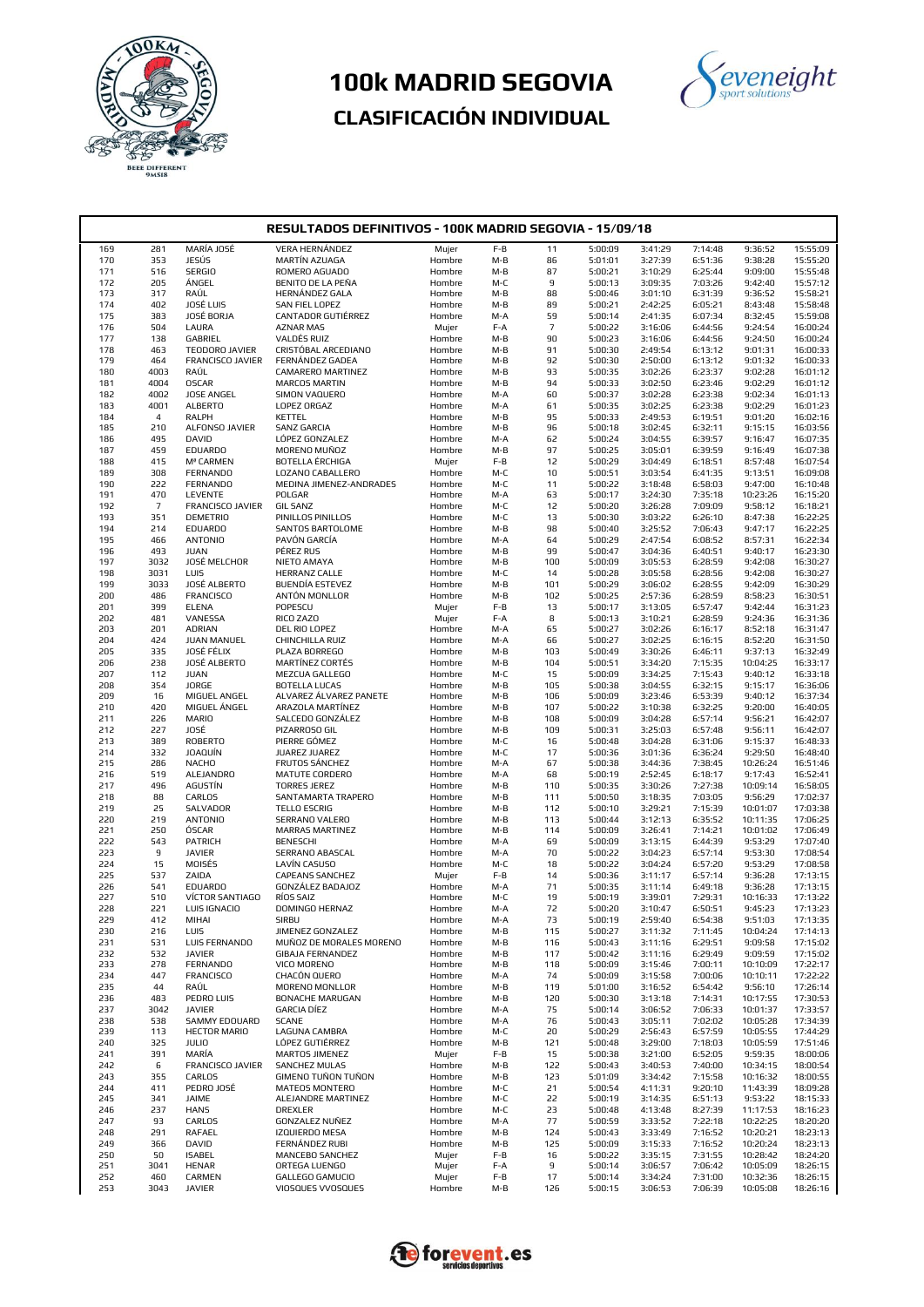



| RESULTADOS DEFINITIVOS - 100K MADRID SEGOVIA - 15/09/18 |                |                                  |                                            |                  |            |                |                    |                    |                    |                      |                      |
|---------------------------------------------------------|----------------|----------------------------------|--------------------------------------------|------------------|------------|----------------|--------------------|--------------------|--------------------|----------------------|----------------------|
| 169                                                     | 281            | MARÍA JOSÉ                       | <b>VERA HERNÁNDEZ</b>                      | Mujer            | F-B        | 11             | 5:00:09            | 3:41:29            | 7:14:48            | 9:36:52              | 15:55:09             |
| 170                                                     | 353            | JESÚS                            | MARTÍN AZUAGA                              | Hombre           | M-B        | 86             | 5:01:01            | 3:27:39            | 6:51:36            | 9:38:28              | 15:55:20             |
| 171                                                     | 516            | <b>SERGIO</b>                    | ROMERO AGUADO                              | Hombre           | M-B        | 87             | 5:00:21            | 3:10:29            | 6:25:44            | 9:09:00              | 15:55:48             |
| 172                                                     | 205            | ÁNGEL                            | BENITO DE LA PEÑA                          | Hombre           | M-C        | 9              | 5:00:13            | 3:09:35            | 7:03:26            | 9:42:40              | 15:57:12             |
| 173                                                     | 317            | RAÚL                             | HERNÁNDEZ GALA                             | Hombre           | $M-B$      | 88             | 5:00:46            | 3:01:10            | 6:31:39            | 9:36:52              | 15:58:21             |
| 174                                                     | 402            | JOSÉ LUIS                        | <b>SAN FIEL LOPEZ</b>                      | Hombre           | M-B        | 89             | 5:00:21            | 2:42:25            | 6:05:21            | 8:43:48              | 15:58:48             |
| 175                                                     | 383            | JOSÉ BORJA                       | CANTADOR GUTIÉRREZ                         | Hombre           | M-A        | 59             | 5:00:14            | 2:41:35            | 6:07:34            | 8:32:45              | 15:59:08             |
| 176                                                     | 504            | LAURA                            | <b>AZNAR MAS</b>                           | Mujer            | F-A        | $\overline{7}$ | 5:00:22            | 3:16:06            | 6:44:56            | 9:24:54              | 16:00:24             |
| 177                                                     | 138            | GABRIEL                          | VALDÉS RUIZ                                | Hombre           | M-B        | 90             | 5:00:23            | 3:16:06            | 6:44:56            | 9:24:50              | 16:00:24             |
| 178                                                     | 463            | TEODORO JAVIER                   | CRISTÓBAL ARCEDIANO                        | Hombre           | M-B        | 91             | 5:00:30            | 2:49:54            | 6:13:12            | 9:01:31              | 16:00:33             |
| 179                                                     | 464            | FRANCISCO JAVIER                 | FERNÁNDEZ GADEA                            | Hombre           | M-B        | 92             | 5:00:30            | 2:50:00            | 6:13:12            | 9:01:32              | 16:00:33             |
| 180<br>181                                              | 4003<br>4004   | RAÚL<br><b>OSCAR</b>             | CAMARERO MARTINEZ<br><b>MARCOS MARTIN</b>  | Hombre<br>Hombre | M-B<br>M-B | 93<br>94       | 5:00:35<br>5:00:33 | 3:02:26<br>3:02:50 | 6:23:37<br>6:23:46 | 9:02:28<br>9:02:29   | 16:01:12<br>16:01:12 |
| 182                                                     | 4002           | JOSE ANGEL                       | SIMON VAQUERO                              | Hombre           | M-A        | 60             | 5:00:37            | 3:02:28            | 6:23:38            | 9:02:34              | 16:01:13             |
| 183                                                     | 4001           | <b>ALBERTO</b>                   | LOPEZ ORGAZ                                | Hombre           | M-A        | 61             | 5:00:35            | 3:02:25            | 6:23:38            | 9:02:29              | 16:01:23             |
| 184                                                     | $\overline{4}$ | RALPH                            | KETTEL                                     | Hombre           | M-B        | 95             | 5:00:33            | 2:49:53            | 6:19:51            | 9:01:20              | 16:02:16             |
| 185                                                     | 210            | ALFONSO JAVIER                   | <b>SANZ GARCIA</b>                         | Hombre           | M-B        | 96             | 5:00:18            | 3:02:45            | 6:32:11            | 9:15:15              | 16:03:56             |
| 186                                                     | 495            | DAVID                            | LÓPEZ GONZALEZ                             | Hombre           | M-A        | 62             | 5:00:24            | 3:04:55            | 6:39:57            | 9:16:47              | 16:07:35             |
| 187                                                     | 459            | <b>EDUARDO</b>                   | MORENO MUÑOZ                               | Hombre           | M-B        | 97             | 5:00:25            | 3:05:01            | 6:39:59            | 9:16:49              | 16:07:38             |
| 188                                                     | 415            | Mª CARMEN                        | BOTELLA ÉRCHIGA                            | Mujer            | $F-B$      | 12             | 5:00:29            | 3:04:49            | 6:18:51            | 8:57:48              | 16:07:54             |
| 189                                                     | 308            | <b>FERNANDO</b>                  | LOZANO CABALLERO                           | Hombre           | M-C        | 10             | 5:00:51            | 3:03:54            | 6:41:35            | 9:13:51              | 16:09:08             |
| 190                                                     | 222            | <b>FERNANDO</b>                  | MEDINA JIMENEZ-ANDRADES                    | Hombre           | M-C        | 11             | 5:00:22            | 3:18:48            | 6:58:03            | 9:47:00              | 16:10:48             |
| 191                                                     | 470            | LEVENTE                          | POLGAR                                     | Hombre           | M-A        | 63             | 5:00:17            | 3:24:30            | 7:35:18            | 10:23:26             | 16:15:20             |
| 192                                                     | $\overline{7}$ | FRANCISCO JAVIER                 | <b>GIL SANZ</b>                            | Hombre           | M-C        | 12             | 5:00:20            | 3:26:28            | 7:09:09            | 9:58:12              | 16:18:21             |
| 193                                                     | 351            | <b>DEMETRIO</b>                  | PINILLOS PINILLOS                          | Hombre           | M-C        | 13             | 5:00:30            | 3:03:22            | 6:26:10            | 8:47:38              | 16:22:25             |
| 194<br>195                                              | 214<br>466     | <b>EDUARDO</b><br><b>ANTONIO</b> | <b>SANTOS BARTOLOME</b><br>PAVÓN GARCÍA    | Hombre<br>Hombre | M-B<br>M-A | 98<br>64       | 5:00:40<br>5:00:29 | 3:25:52<br>2:47:54 | 7:06:43<br>6:08:52 | 9:47:17<br>8:57:31   | 16:22:25<br>16:22:34 |
| 196                                                     | 493            | <b>JUAN</b>                      | PÉREZ RUS                                  | Hombre           | M-B        | 99             | 5:00:47            | 3:04:36            | 6:40:51            | 9:40:17              | 16:23:30             |
| 197                                                     | 3032           | JOSÉ MELCHOR                     | NIETO AMAYA                                | Hombre           | M-B        | 100            | 5:00:09            | 3:05:53            | 6:28:59            | 9:42:08              | 16:30:27             |
| 198                                                     | 3031           | LUIS                             | HERRANZ CALLE                              | Hombre           | M-C        | 14             | 5:00:28            | 3:05:58            | 6:28:56            | 9:42:08              | 16:30:27             |
| 199                                                     | 3033           | JOSÉ ALBERTO                     | BUENDÍA ESTEVEZ                            | Hombre           | M-B        | 101            | 5:00:29            | 3:06:02            | 6:28:55            | 9:42:09              | 16:30:29             |
| 200                                                     | 486            | <b>FRANCISCO</b>                 | ANTÓN MONLLOR                              | Hombre           | $M-B$      | 102            | 5:00:25            | 2:57:36            | 6:28:59            | 8:58:23              | 16:30:51             |
| 201                                                     | 399            | <b>ELENA</b>                     | POPESCU                                    | Mujer            | $F-B$      | 13             | 5:00:17            | 3:13:05            | 6:57:47            | 9:42:44              | 16:31:23             |
| 202                                                     | 481            | VANESSA                          | RICO ZAZO                                  | Mujer            | F-A        | 8              | 5:00:13            | 3:10:21            | 6:28:59            | 9:24:36              | 16:31:36             |
| 203                                                     | 201            | <b>ADRIAN</b>                    | DEL RIO LOPEZ                              | Hombre           | M-A        | 65             | 5:00:27            | 3:02:26            | 6:16:17            | 8:52:18              | 16:31:47             |
| 204                                                     | 424            | JUAN MANUEL                      | CHINCHILLA RUIZ                            | Hombre           | M-A        | 66             | 5:00:27            | 3:02:25            | 6:16:15            | 8:52:20              | 16:31:50             |
| 205                                                     | 335            | JOSÉ FÉLIX                       | PLAZA BORREGO                              | Hombre           | M-B        | 103            | 5:00:49            | 3:30:26            | 6:46:11            | 9:37:13              | 16:32:49             |
| 206                                                     | 238            | JOSÉ ALBERTO                     | MARTÍNEZ CORTÉS                            | Hombre           | M-B        | 104            | 5:00:51            | 3:34:20            | 7:15:35            | 10:04:25             | 16:33:17             |
| 207                                                     | 112            | <b>JUAN</b>                      | MEZCUA GALLEGO                             | Hombre           | M-C        | 15             | 5:00:09            | 3:34:25            | 7:15:43            | 9:40:12              | 16:33:18             |
| 208                                                     | 354            | JORGE                            | <b>BOTELLA LUCAS</b>                       | Hombre           | $M-B$      | 105            | 5:00:38            | 3:04:55            | 6:32:15            | 9:15:17              | 16:36:06             |
| 209<br>210                                              | 16<br>420      | MIGUEL ANGEL<br>MIGUEL ÁNGEL     | ALVAREZ ÁLVAREZ PANETE<br>ARAZOLA MARTÍNEZ | Hombre<br>Hombre | M-B<br>M-B | 106<br>107     | 5:00:09<br>5:00:22 | 3:23:46<br>3:10:38 | 6:53:39<br>6:32:25 | 9:40:12<br>9:20:00   | 16:37:34<br>16:40:05 |
| 211                                                     | 226            | <b>MARIO</b>                     | SALCEDO GONZÁLEZ                           | Hombre           | M-B        | 108            | 5:00:09            | 3:04:28            | 6:57:14            | 9:56:21              | 16:42:07             |
| 212                                                     | 227            | JOSÉ                             | PIZARROSO GIL                              | Hombre           | M-B        | 109            | 5:00:31            | 3:25:03            | 6:57:48            | 9:56:11              | 16:42:07             |
| 213                                                     | 389            | <b>ROBERTO</b>                   | PIERRE GÓMEZ                               | Hombre           | M-C        | 16             | 5:00:48            | 3:04:28            | 6:31:06            | 9:15:37              | 16:48:33             |
| 214                                                     | 332            | <b>JOAQUÍN</b>                   | JUAREZ JUAREZ                              | Hombre           | M-C        | 17             | 5:00:36            | 3:01:36            | 6:36:24            | 9:29:50              | 16:48:40             |
| 215                                                     | 286            | <b>NACHO</b>                     | FRUTOS SÁNCHEZ                             | Hombre           | M-A        | 67             | 5:00:38            | 3:44:36            | 7:38:45            | 10:26:24             | 16:51:46             |
| 216                                                     | 519            | ALEJANDRO                        | MATUTE CORDERO                             | Hombre           | M-A        | 68             | 5:00:19            | 2:52:45            | 6:18:17            | 9:17:43              | 16:52:41             |
| 217                                                     | 496            | AGUSTÍN                          | <b>TORRES JEREZ</b>                        | Hombre           | M-B        | 110            | 5:00:35            | 3:30:26            | 7:27:38            | 10:09:14             | 16:58:05             |
| 218                                                     | 88             | CARLOS                           | SANTAMARTA TRAPERO                         | Hombre           | M-B        | 111            | 5:00:50            | 3:18:35            | 7:03:05            | 9:56:29              | 17:02:37             |
| 219                                                     | 25             | SALVADOR                         | <b>TELLO ESCRIG</b>                        | Hombre           | M-B        | 112            | 5:00:10            | 3:29:21            | 7:15:39            | 10:01:07             | 17:03:38             |
| 220                                                     | 219            | <b>ANTONIO</b>                   | SERRANO VALERO                             | Hombre           | M-B        | 113            | 5:00:44            | 3:12:13            | 6:35:52            | 10:11:35             | 17:06:25             |
| 221<br>222                                              | 250<br>543     | ÓSCAR<br>PATRICH                 | <b>MARRAS MARTINEZ</b><br><b>BENESCHI</b>  | Hombre<br>Hombre | M-B<br>M-A | 114<br>69      | 5:00:09<br>5:00:09 | 3:26:41<br>3:13:15 | 7:14:21<br>6:44:39 | 10:01:02<br>9:53:29  | 17:06:49<br>17:07:40 |
| 223                                                     | $\mathsf g$    | <b>JAVIER</b>                    | SERRANO ABASCAL                            | Hombre           | M-A        | 70             | 5:00:22            | 3:04:23            | 6:57:14            | 9:53:30              | 17:08:54             |
| 224                                                     | 15             | MOISÉS                           | LAVÍN CASUSO                               | Hombre           | M-C        | 18             | 5:00:22            | 3:04:24            | 6:57:20            | 9:53:29              | 17:08:58             |
| 225                                                     | 537            | ZAIDA                            | <b>CAPEANS SANCHEZ</b>                     | Mujer            | $F-B$      | 14             | 5:00:36            | 3:11:17            | 6:57:14            | 9:36:28              | 17:13:15             |
| 226                                                     | 541            | <b>EDUARDO</b>                   | GONZÁLEZ BADAJOZ                           | Hombre           | M-A        | 71             | 5:00:35            | 3:11:14            | 6:49:18            | 9:36:28              | 17:13:15             |
| 227                                                     | 510            | VÍCTOR SANTIAGO                  | RÍOS SAIZ                                  | Hombre           | M-C        | 19             | 5:00:19            | 3:39:01            | 7:29:31            | 10:16:33             | 17:13:22             |
| 228                                                     | 221            | LUIS IGNACIO                     | DOMINGO HERNAZ                             | Hombre           | M-A        | 72             | 5:00:20            | 3:10:47            | 6:50:51            | 9:45:23              | 17:13:23             |
| 229                                                     | 412            | MIHAI                            | SIRBU                                      | Hombre           | M-A        | 73             | 5:00:19            | 2:59:40            | 6:54:38            | 9:51:03              | 17:13:35             |
| 230                                                     | 216            | LUIS                             | JIMENEZ GONZALEZ                           | Hombre           | M-B        | 115            | 5:00:27            | 3:11:32            | 7:11:45            | 10:04:24             | 17:14:13             |
| 231                                                     | 531            | LUIS FERNANDO                    | MUÑOZ DE MORALES MORENO                    | Hombre           | M-B        | 116            | 5:00:43            | 3:11:16            | 6:29:51            | 9:09:58              | 17:15:02             |
| 232                                                     | 532            | <b>JAVIER</b>                    | <b>GIBAJA FERNANDEZ</b>                    | Hombre           | M-B        | 117            | 5:00:42            | 3:11:16            | 6:29:49            | 9:09:59              | 17:15:02             |
| 233                                                     | 278            | <b>FERNANDO</b>                  | VICO MORENO                                | Hombre           | M-B        | 118            | 5:00:09            | 3:15:46            | 7:00:11            | 10:10:09             | 17:22:17             |
| 234<br>235                                              | 447            | <b>FRANCISCO</b>                 | CHACÓN QUERO<br>MORENO MONLLOR             | Hombre           | M-A        | 74<br>119      | 5:00:09<br>5:01:00 | 3:15:58<br>3:16:52 | 7:00:06            | 10:10:11             | 17:22:22<br>17:26:14 |
| 236                                                     | 44<br>483      | RAÚL<br>PEDRO LUIS               | <b>BONACHE MARUGAN</b>                     | Hombre<br>Hombre | M-B<br>M-B | 120            | 5:00:30            | 3:13:18            | 6:54:42<br>7:14:31 | 9:56:10<br>10:17:55  | 17:30:53             |
| 237                                                     | 3042           | <b>JAVIER</b>                    | <b>GARCIA DÍEZ</b>                         | Hombre           | M-A        | 75             | 5:00:14            | 3:06:52            | 7:06:33            | 10:01:37             | 17:33:57             |
| 238                                                     | 538            | <b>SAMMY EDOUARD</b>             | <b>SCANE</b>                               | Hombre           | M-A        | 76             | 5:00:43            | 3:05:11            | 7:02:02            | 10:05:28             | 17:34:39             |
| 239                                                     | 113            | <b>HECTOR MARIO</b>              | <b>LAGUNA CAMBRA</b>                       | Hombre           | M-C        | 20             | 5:00:29            | 2:56:43            | 6:57:59            | 10:05:55             | 17:44:29             |
| 240                                                     | 325            | <b>JULIO</b>                     | LÓPEZ GUTIÉRREZ                            | Hombre           | M-B        | 121            | 5:00:48            | 3:29:00            | 7:18:03            | 10:05:59             | 17:51:46             |
| 241                                                     | 391            | MARÍA                            | MARTOS JIMENEZ                             | Mujer            | F-B        | 15             | 5:00:38            | 3:21:00            | 6:52:05            | 9:59:35              | 18:00:06             |
| 242                                                     | 6              | FRANCISCO JAVIER                 | <b>SANCHEZ MULAS</b>                       | Hombre           | M-B        | 122            | 5:00:43            | 3:40:53            | 7:40:00            | 10:34:15             | 18:00:54             |
| 243                                                     | 355            | CARLOS                           | GIMENO TUÑON TUÑON                         | Hombre           | M-B        | 123            | 5:01:09            | 3:34:42            | 7:15:58            | 10:16:32             | 18:00:55             |
| 244                                                     | 411            | PEDRO JOSÉ                       | MATEOS MONTERO                             | Hombre           | M-C        | 21             | 5:00:54            | 4:11:31            | 9:20:10            | 11:43:39             | 18:09:28             |
| 245                                                     | 341            | JAIME                            | ALEJANDRE MARTINEZ                         | Hombre           | M-C        | 22             | 5:00:19            | 3:14:35            | 6:51:13            | 9:53:22              | 18:15:33             |
| 246                                                     | 237            | <b>HANS</b>                      | DREXLER                                    | Hombre           | M-C        | 23             | 5:00:48            | 4:13:48            | 8:27:39            | 11:17:53             | 18:16:23             |
| 247                                                     | 93             | CARLOS                           | GONZALEZ NUÑEZ                             | Hombre           | M-A        | 77             | 5:00:59            | 3:33:52            | 7:22:18            | 10:22:25             | 18:20:20             |
| 248                                                     | 291            | RAFAEL                           | IZQUIERDO MESA                             | Hombre           | M-B        | 124            | 5:00:43            | 3:33:49            | 7:16:52            | 10:20:21             | 18:23:13             |
| 249<br>250                                              | 366<br>50      | DAVID<br><b>ISABEL</b>           | <b>FERNÁNDEZ RUBI</b><br>MANCEBO SANCHEZ   | Hombre           | M-B<br>F-B | 125<br>16      | 5:00:09<br>5:00:22 | 3:15:33<br>3:35:15 | 7:16:52<br>7:31:55 | 10:20:24<br>10:28:42 | 18:23:13<br>18:24:20 |
| 251                                                     | 3041           | <b>HENAR</b>                     | ORTEGA LUENGO                              | Mujer<br>Mujer   | F-A        | 9              | 5:00:14            | 3:06:57            | 7:06:42            | 10:05:09             | 18:26:15             |
| 252                                                     | 460            | CARMEN                           | GALLEGO GAMUCIO                            | Mujer            | F-B        | 17             | 5:00:14            | 3:34:24            | 7:31:00            | 10:32:36             | 18:26:15             |
| 253                                                     | 3043           | <b>JAVIER</b>                    | VIOSQUES VVOSQUES                          | Hombre           | M-B        | 126            | 5:00:15            | 3:06:53            | 7:06:39            | 10:05:08             | 18:26:16             |
|                                                         |                |                                  |                                            |                  |            |                |                    |                    |                    |                      |                      |

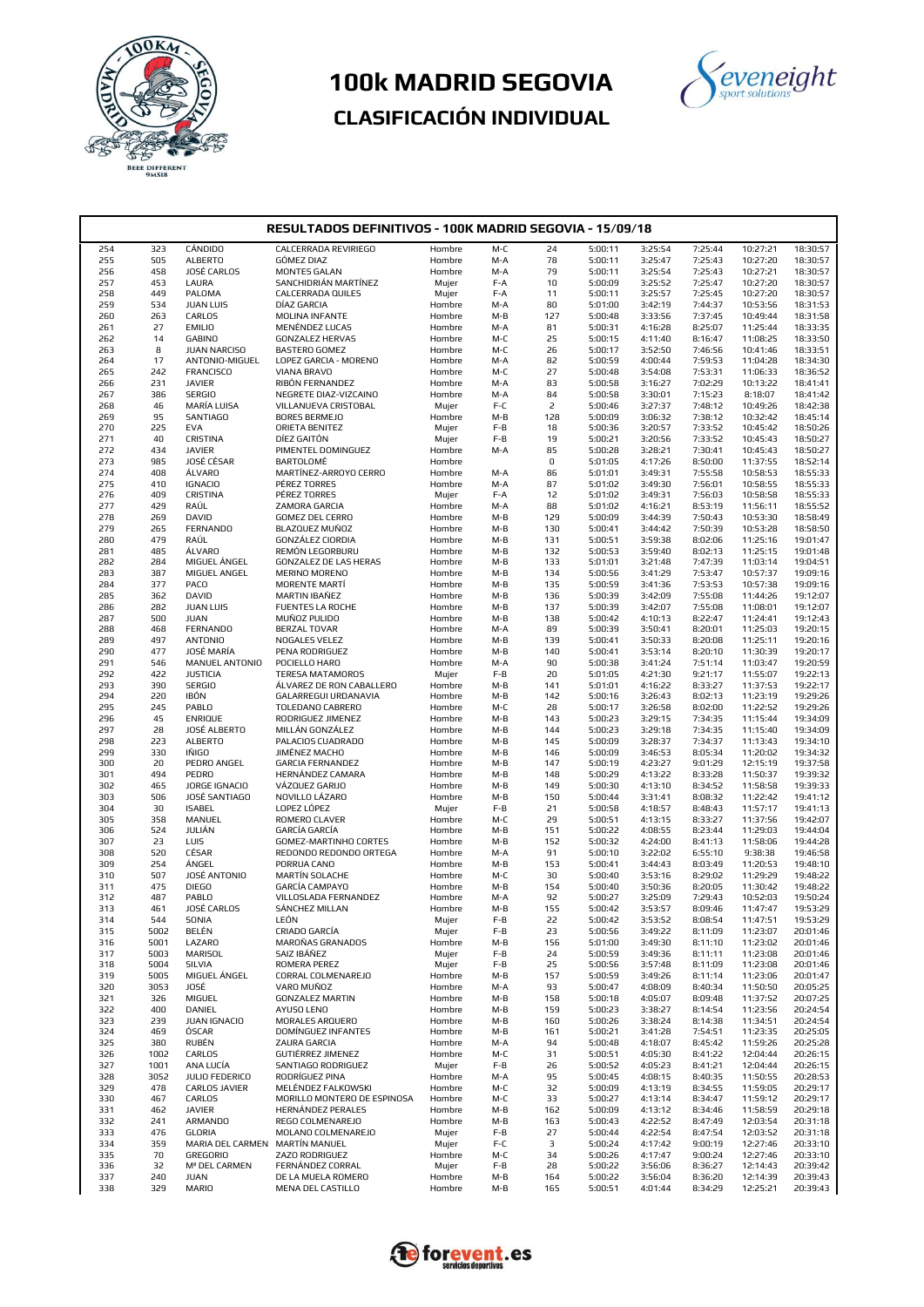



| RESULTADOS DEFINITIVOS - 100K MADRID SEGOVIA - 15/09/18 |             |                                   |                                                  |                  |              |             |                    |                    |                    |                      |                      |
|---------------------------------------------------------|-------------|-----------------------------------|--------------------------------------------------|------------------|--------------|-------------|--------------------|--------------------|--------------------|----------------------|----------------------|
| 254                                                     | 323         | CÁNDIDO                           | CALCERRADA REVIRIEGO                             | Hombre           | M-C          | 24          | 5:00:11            | 3:25:54            | 7:25:44            | 10:27:21             | 18:30:57             |
| 255                                                     | 505         | <b>ALBERTO</b>                    | <b>GÓMEZ DIAZ</b>                                | Hombre           | M-A          | 78          | 5:00:11            | 3:25:47            | 7:25:43            | 10:27:20             | 18:30:57             |
| 256                                                     | 458         | JOSÉ CARLOS                       | <b>MONTES GALAN</b>                              | Hombre           | M-A          | 79          | 5:00:11            | 3:25:54            | 7:25:43            | 10:27:21             | 18:30:57             |
| 257                                                     | 453         | LAURA                             | SANCHIDRIÁN MARTÍNEZ                             | Mujer            | F-A          | 10          | 5:00:09            | 3:25:52            | 7:25:47            | 10:27:20             | 18:30:57             |
| 258                                                     | 449         | PALOMA                            | CALCERRADA QUILES                                | Mujer            | F-A          | 11          | 5:00:11            | 3:25:57            | 7:25:45            | 10:27:20             | 18:30:57             |
| 259<br>260                                              | 534<br>263  | <b>JUAN LUIS</b><br>CARLOS        | DÍAZ GARCIA<br><b>MOLINA INFANTE</b>             | Hombre<br>Hombre | M-A<br>M-B   | 80<br>127   | 5:01:00<br>5:00:48 | 3:42:19<br>3:33:56 | 7:44:37<br>7:37:45 | 10:53:56<br>10:49:44 | 18:31:53<br>18:31:58 |
| 261                                                     | 27          | <b>EMILIO</b>                     | MENÉNDEZ LUCAS                                   | Hombre           | M-A          | 81          | 5:00:31            | 4:16:28            | 8:25:07            | 11:25:44             | 18:33:35             |
| 262                                                     | 14          | <b>GABINO</b>                     | <b>GONZALEZ HERVAS</b>                           | Hombre           | M-C          | 25          | 5:00:15            | 4:11:40            | 8:16:47            | 11:08:25             | 18:33:50             |
| 263                                                     | 8           | <b>JUAN NARCISO</b>               | BASTERO GOMEZ                                    | Hombre           | M-C          | 26          | 5:00:17            | 3:52:50            | 7:46:56            | 10:41:46             | 18:33:51             |
| 264                                                     | 17          | ANTONIO-MIGUEL                    | LOPEZ GARCIA - MORENO                            | Hombre           | M-A          | 82          | 5:00:59            | 4:00:44            | 7:59:53            | 11:04:28             | 18:34:30             |
| 265                                                     | 242         | <b>FRANCISCO</b>                  | VIANA BRAVO                                      | Hombre           | M-C          | 27          | 5:00:48            | 3:54:08            | 7:53:31            | 11:06:33             | 18:36:52             |
| 266                                                     | 231         | <b>JAVIER</b>                     | RIBÓN FERNANDEZ                                  | Hombre           | M-A          | 83          | 5:00:58            | 3:16:27            | 7:02:29            | 10:13:22             | 18:41:41             |
| 267                                                     | 386<br>46   | <b>SERGIO</b><br>MARÍA LUISA      | NEGRETE DIAZ-VIZCAINO<br>VILLANUEVA CRISTOBAL    | Hombre           | M-A<br>$F-C$ | 84<br>2     | 5:00:58<br>5:00:46 | 3:30:01<br>3:27:37 | 7:15:23<br>7:48:12 | 8:18:07<br>10:49:26  | 18:41:42<br>18:42:38 |
| 268<br>269                                              | 95          | <b>SANTIAGO</b>                   | <b>BORES BERMEJO</b>                             | Mujer<br>Hombre  | $M-B$        | 128         | 5:00:09            | 3:06:32            | 7:38:12            | 10:32:42             | 18:45:14             |
| 270                                                     | 225         | <b>EVA</b>                        | ORIETA BENITEZ                                   | Mujer            | F-B          | 18          | 5:00:36            | 3:20:57            | 7:33:52            | 10:45:42             | 18:50:26             |
| 271                                                     | 40          | CRISTINA                          | DÍEZ GAITÓN                                      | Mujer            | F-B          | 19          | 5:00:21            | 3:20:56            | 7:33:52            | 10:45:43             | 18:50:27             |
| 272                                                     | 434         | <b>JAVIER</b>                     | PIMENTEL DOMINGUEZ                               | Hombre           | M-A          | 85          | 5:00:28            | 3:28:21            | 7:30:41            | 10:45:43             | 18:50:27             |
| 273                                                     | 985         | JOSÉ CÉSAR                        | BARTOLOMÉ                                        | Hombre           |              | $\mathsf D$ | 5:01:05            | 4:17:26            | 8:50:00            | 11:37:55             | 18:52:14             |
| 274                                                     | 408         | ÁLVARO                            | MARTÍNEZ-ARROYO CERRO                            | Hombre           | M-A          | 86          | 5:01:01            | 3:49:31            | 7:55:58            | 10:58:53             | 18:55:33             |
| 275                                                     | 410<br>409  | <b>IGNACIO</b><br>CRISTINA        | PÉREZ TORRES<br>PÉREZ TORRES                     | Hombre           | M-A          | 87          | 5:01:02<br>5:01:02 | 3:49:30            | 7:56:01<br>7:56:03 | 10:58:55<br>10:58:58 | 18:55:33<br>18:55:33 |
| 276<br>277                                              | 429         | RAÚL                              | ZAMORA GARCIA                                    | Mujer<br>Hombre  | F-A<br>M-A   | 12<br>88    | 5:01:02            | 3:49:31<br>4:16:21 | 8:53:19            | 11:56:11             | 18:55:52             |
| 278                                                     | 269         | DAVID                             | <b>GOMEZ DEL CERRO</b>                           | Hombre           | M-B          | 129         | 5:00:09            | 3:44:39            | 7:50:43            | 10:53:30             | 18:58:49             |
| 279                                                     | 265         | <b>FERNANDO</b>                   | BLAZQUEZ MUÑOZ                                   | Hombre           | M-B          | 130         | 5:00:41            | 3:44:42            | 7:50:39            | 10:53:28             | 18:58:50             |
| 280                                                     | 479         | RAÚL                              | GONZÁLEZ CIORDIA                                 | Hombre           | M-B          | 131         | 5:00:51            | 3:59:38            | 8:02:06            | 11:25:16             | 19:01:47             |
| 281                                                     | 485         | ÁLVARO                            | REMÓN LEGORBURU                                  | Hombre           | M-B          | 132         | 5:00:53            | 3:59:40            | 8:02:13            | 11:25:15             | 19:01:48             |
| 282                                                     | 284         | MIGUEL ÁNGEL                      | GONZALEZ DE LAS HERAS                            | Hombre           | M-B          | 133         | 5:01:01            | 3:21:48            | 7:47:39            | 11:03:14             | 19:04:51             |
| 283<br>284                                              | 387<br>377  | MIGUEL ANGEL<br>PACO              | <b>MERINO MORENO</b><br><b>MORENTE MARTÍ</b>     | Hombre           | M-B          | 134<br>135  | 5:00:56<br>5:00:59 | 3:41:29<br>3:41:36 | 7:53:47<br>7:53:53 | 10:57:37<br>10:57:38 | 19:09:16<br>19:09:16 |
| 285                                                     | 362         | DAVID                             | MARTIN IBAÑEZ                                    | Hombre<br>Hombre | M-B<br>M-B   | 136         | 5:00:39            | 3:42:09            | 7:55:08            | 11:44:26             | 19:12:07             |
| 286                                                     | 282         | <b>JUAN LUIS</b>                  | FUENTES LA ROCHE                                 | Hombre           | M-B          | 137         | 5:00:39            | 3:42:07            | 7:55:08            | 11:08:01             | 19:12:07             |
| 287                                                     | 500         | <b>JUAN</b>                       | MUÑOZ PULIDO                                     | Hombre           | M-B          | 138         | 5:00:42            | 4:10:13            | 8:22:47            | 11:24:41             | 19:12:43             |
| 288                                                     | 468         | <b>FERNANDO</b>                   | <b>BERZAL TOVAR</b>                              | Hombre           | M-A          | 89          | 5:00:39            | 3:50:41            | 8:20:01            | 11:25:03             | 19:20:15             |
| 289                                                     | 497         | <b>ANTONIO</b>                    | NOGALES VELEZ                                    | Hombre           | M-B          | 139         | 5:00:41            | 3:50:33            | 8:20:08            | 11:25:11             | 19:20:16             |
| 290                                                     | 477         | JOSÉ MARÍA                        | PENA RODRIGUEZ                                   | Hombre           | M-B          | 140         | 5:00:41            | 3:53:14            | 8:20:10            | 11:30:39             | 19:20:17             |
| 291<br>292                                              | 546<br>422  | MANUEL ANTONIO<br><b>JUSTICIA</b> | POCIELLO HARO<br>TERESA MATAMOROS                | Hombre           | M-A<br>$F-B$ | 90<br>20    | 5:00:38<br>5:01:05 | 3:41:24<br>4:21:30 | 7:51:14<br>9:21:17 | 11:03:47<br>11:55:07 | 19:20:59<br>19:22:13 |
| 293                                                     | 390         | <b>SERGIO</b>                     | ÁLVAREZ DE RON CABALLERO                         | Mujer<br>Hombre  | M-B          | 141         | 5:01:01            | 4:16:22            | 8:33:27            | 11:37:53             | 19:22:17             |
| 294                                                     | 220         | IBÓN                              | GALARREGUI URDANAVIA                             | Hombre           | M-B          | 142         | 5:00:16            | 3:26:43            | 8:02:13            | 11:23:19             | 19:29:26             |
| 295                                                     | 245         | PABLO                             | TOLEDANO CABRERO                                 | Hombre           | M-C          | 28          | 5:00:17            | 3:26:58            | 8:02:00            | 11:22:52             | 19:29:26             |
| 296                                                     | 45          | <b>ENRIQUE</b>                    | RODRIGUEZ JIMENEZ                                | Hombre           | M-B          | 143         | 5:00:23            | 3:29:15            | 7:34:35            | 11:15:44             | 19:34:09             |
| 297                                                     | 28          | JOSÉ ALBERTO                      | MILLÁN GONZÁLEZ                                  | Hombre           | M-B          | 144         | 5:00:23            | 3:29:18            | 7:34:35            | 11:15:40             | 19:34:09             |
| 298                                                     | 223         | <b>ALBERTO</b>                    | PALACIOS CUADRADO                                | Hombre           | $M-B$        | 145         | 5:00:09            | 3:28:37            | 7:34:37            | 11:13:43             | 19:34:10             |
| 299<br>300                                              | 330<br>20   | IÑIGO<br>PEDRO ANGEL              | JIMÉNEZ MACHO<br><b>GARCIA FERNANDEZ</b>         | Hombre<br>Hombre | M-B<br>M-B   | 146<br>147  | 5:00:09<br>5:00:19 | 3:46:53<br>4:23:27 | 8:05:34<br>9:01:29 | 11:20:02<br>12:15:19 | 19:34:32<br>19:37:58 |
| 301                                                     | 494         | PEDRO                             | HERNÁNDEZ CAMARA                                 | Hombre           | M-B          | 148         | 5:00:29            | 4:13:22            | 8:33:28            | 11:50:37             | 19:39:32             |
| 302                                                     | 465         | JORGE IGNACIO                     | VÁZQUEZ GARIJO                                   | Hombre           | M-B          | 149         | 5:00:30            | 4:13:10            | 8:34:52            | 11:58:58             | 19:39:33             |
| 303                                                     | 506         | JOSÉ SANTIAGO                     | NOVILLO LÁZARO                                   | Hombre           | $M-B$        | 150         | 5:00:44            | 3:31:41            | 8:08:32            | 11:22:42             | 19:41:12             |
| 304                                                     | 30          | <b>ISABEL</b>                     | LOPEZ LÓPEZ                                      | Mujer            | $F-B$        | 21          | 5:00:58            | 4:18:57            | 8:48:43            | 11:57:17             | 19:41:13             |
| 305                                                     | 358         | MANUEL                            | ROMERO CLAVER                                    | Hombre           | M-C          | 29          | 5:00:51            | 4:13:15            | 8:33:27            | 11:37:56             | 19:42:07             |
| 306<br>307                                              | 524<br>23   | JULIÁN<br>LUIS                    | GARCÍA GARCÍA<br><b>GOMEZ-MARTINHO CORTES</b>    | Hombre           | M-B          | 151<br>152  | 5:00:22<br>5:00:32 | 4:08:55<br>4:24:00 | 8:23:44<br>8:41:13 | 11:29:03             | 19:44:04<br>19:44:28 |
| 308                                                     | 520         | CÉSAR                             | REDONDO REDONDO ORTEGA                           | Hombre<br>Hombre | M-B<br>M-A   | 91          | 5:00:10            | 3:22:02            | 6:55:10            | 11:58:06<br>9:38:38  | 19:46:58             |
| 309                                                     | 254         | ÁNGEL                             | PORRUA CANO                                      | Hombre           | M-B          | 153         | 5:00:41            | 3:44:43            | 8:03:49            | 11:20:53             | 19:48:10             |
| 310                                                     | 507         | JOSÉ ANTONIO                      | <b>MARTIN SOLACHE</b>                            | Hombre           | M-C          | 30          | 5:00:40            | 3:53:16            | 8:29:02            | 11:29:29             | 19:48:22             |
| 311                                                     | 475         | <b>DIEGO</b>                      | GARCÍA CAMPAYO                                   | Hombre           | M-B          | 154         | 5:00:40            | 3:50:36            | 8:20:05            | 11:30:42             | 19:48:22             |
| 312                                                     | 487         | PABLO                             | VILLOSLADA FERNANDEZ                             | Hombre           | M-A          | 92          | 5:00:27            | 3:25:09            | 7:29:43            | 10:52:03             | 19:50:24             |
| 313                                                     | 461         | JOSÉ CARLOS                       | SÁNCHEZ MILLAN                                   | Hombre           | $M-B$        | 155         | 5:00:42            | 3:53:57            | 8:09:46            | 11:47:47             | 19:53:29             |
| 314<br>315                                              | 544<br>5002 | SONIA<br>BELÉN                    | LEON<br>CRIADO GARCÍA                            | Mujer<br>Mujer   | F-B<br>F-B   | 22<br>23    | 5:00:42<br>5:00:56 | 3:53:52<br>3:49:22 | 8:08:54<br>8:11:09 | 11:47:51<br>11:23:07 | 19:53:29<br>20:01:46 |
| 316                                                     | 5001        | LAZARO                            | MAROÑAS GRANADOS                                 | Hombre           | M-B          | 156         | 5:01:00            | 3:49:30            | 8:11:10            | 11:23:02             | 20:01:46             |
| 317                                                     | 5003        | MARISOL                           | SAIZ IBÁÑEZ                                      | Mujer            | $F-B$        | 24          | 5:00:59            | 3:49:36            | 8:11:11            | 11:23:08             | 20:01:46             |
| 318                                                     | 5004        | <b>SILVIA</b>                     | ROMERA PEREZ                                     | Mujer            | F-B          | 25          | 5:00:56            | 3:57:48            | 8:11:09            | 11:23:08             | 20:01:46             |
| 319                                                     | 5005        | MIGUEL ÁNGEL                      | CORRAL COLMENAREJO                               | Hombre           | $M-B$        | 157         | 5:00:59            | 3:49:26            | 8:11:14            | 11:23:06             | 20:01:47             |
| 320                                                     | 3053        | JOSÉ                              | VARO MUÑOZ                                       | Hombre           | M-A          | 93          | 5:00:47            | 4:08:09            | 8:40:34            | 11:50:50             | 20:05:25             |
| 321                                                     | 326         | MIGUEL                            | <b>GONZALEZ MARTIN</b>                           | Hombre           | M-B          | 158         | 5:00:18            | 4:05:07            | 8:09:48            | 11:37:52             | 20:07:25             |
| 322<br>323                                              | 400<br>239  | DANIEL<br>JUAN IGNACIO            | AYUSO LENO<br>MORALES ARQUERO                    | Hombre<br>Hombre | M-B<br>M-B   | 159<br>160  | 5:00:23<br>5:00:26 | 3:38:27<br>3:38:24 | 8:14:54<br>8:14:38 | 11:23:56<br>11:34:51 | 20:24:54<br>20:24:54 |
| 324                                                     | 469         | ÓSCAR                             | DOMÍNGUEZ INFANTES                               | Hombre           | M-B          | 161         | 5:00:21            | 3:41:28            | 7:54:51            | 11:23:35             | 20:25:05             |
| 325                                                     | 380         | RUBÉN                             | ZAURA GARCIA                                     | Hombre           | M-A          | 94          | 5:00:48            | 4:18:07            | 8:45:42            | 11:59:26             | 20:25:28             |
| 326                                                     | 1002        | CARLOS                            | GUTIÉRREZ JIMENEZ                                | Hombre           | M-C          | 31          | 5:00:51            | 4:05:30            | 8:41:22            | 12:04:44             | 20:26:15             |
| 327                                                     | 1001        | ANA LUCÍA                         | SANTIAGO RODRIGUEZ                               | Mujer            | F-B          | 26          | 5:00:52            | 4:05:23            | 8:41:21            | 12:04:44             | 20:26:15             |
| 328                                                     | 3052        | JULIO FEDERICO                    | RODRÍGUEZ PINA                                   | Hombre           | M-A          | 95          | 5:00:45            | 4:08:15            | 8:40:35            | 11:50:55             | 20:28:53             |
| 329                                                     | 478         | CARLOS JAVIER<br>CARLOS           | MELÉNDEZ FALKOWSKI                               | Hombre           | M-C          | 32          | 5:00:09            | 4:13:19            | 8:34:55            | 11:59:05             | 20:29:17             |
| 330<br>331                                              | 467<br>462  | <b>JAVIER</b>                     | MORILLO MONTERO DE ESPINOSA<br>HERNÁNDEZ PERALES | Hombre<br>Hombre | M-C<br>M-B   | 33<br>162   | 5:00:27<br>5:00:09 | 4:13:14<br>4:13:12 | 8:34:47<br>8:34:46 | 11:59:12<br>11:58:59 | 20:29:17<br>20:29:18 |
| 332                                                     | 241         | ARMANDO                           | REGO COLMENAREJO                                 | Hombre           | M-B          | 163         | 5:00:43            | 4:22:52            | 8:47:49            | 12:03:54             | 20:31:18             |
| 333                                                     | 476         | GLORIA                            | MOLANO COLMENAREJO                               | Mujer            | $F-B$        | 27          | 5:00:44            | 4:22:54            | 8:47:54            | 12:03:52             | 20:31:18             |
| 334                                                     | 359         | MARIA DEL CARMEN MARTÍN MANUEL    |                                                  | Mujer            | F-C          | 3           | 5:00:24            | 4:17:42            | 9:00:19            | 12:27:46             | 20:33:10             |
| 335                                                     | 70          | <b>GREGORIO</b>                   | ZAZO RODRIGUEZ                                   | Hombre           | M-C          | 34          | 5:00:26            | 4:17:47            | 9:00:24            | 12:27:46             | 20:33:10             |
| 336                                                     | 32          | Mª DEL CARMEN                     | FERNÁNDEZ CORRAL                                 | Mujer            | F-B          | 28          | 5:00:22            | 3:56:06            | 8:36:27            | 12:14:43             | 20:39:42             |
| 337                                                     | 240         | <b>JUAN</b>                       | DE LA MUELA ROMERO                               | Hombre           | M-B          | 164         | 5:00:22            | 3:56:04            | 8:36:20            | 12:14:39             | 20:39:43             |
| 338                                                     | 329         | <b>MARIO</b>                      | MENA DEL CASTILLO                                | Hombre           | M-B          | 165         | 5:00:51            | 4:01:44            | 8:34:29            | 12:25:21             | 20:39:43             |